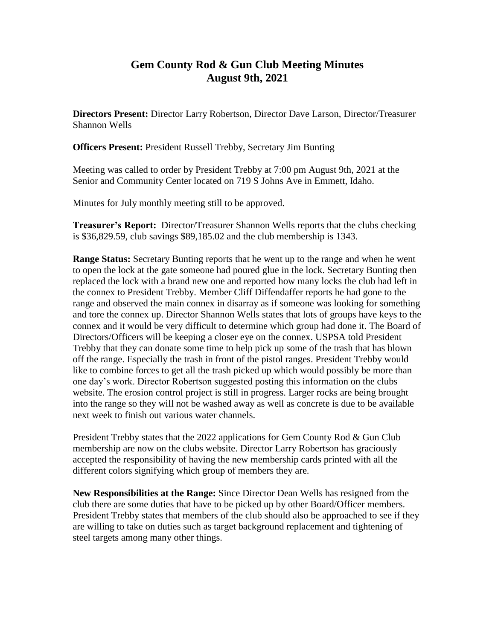## **Gem County Rod & Gun Club Meeting Minutes August 9th, 2021**

**Directors Present:** Director Larry Robertson, Director Dave Larson, Director/Treasurer Shannon Wells

**Officers Present:** President Russell Trebby, Secretary Jim Bunting

Meeting was called to order by President Trebby at 7:00 pm August 9th, 2021 at the Senior and Community Center located on 719 S Johns Ave in Emmett, Idaho.

Minutes for July monthly meeting still to be approved.

**Treasurer's Report:** Director/Treasurer Shannon Wells reports that the clubs checking is \$36,829.59, club savings \$89,185.02 and the club membership is 1343.

**Range Status:** Secretary Bunting reports that he went up to the range and when he went to open the lock at the gate someone had poured glue in the lock. Secretary Bunting then replaced the lock with a brand new one and reported how many locks the club had left in the connex to President Trebby. Member Cliff Diffendaffer reports he had gone to the range and observed the main connex in disarray as if someone was looking for something and tore the connex up. Director Shannon Wells states that lots of groups have keys to the connex and it would be very difficult to determine which group had done it. The Board of Directors/Officers will be keeping a closer eye on the connex. USPSA told President Trebby that they can donate some time to help pick up some of the trash that has blown off the range. Especially the trash in front of the pistol ranges. President Trebby would like to combine forces to get all the trash picked up which would possibly be more than one day's work. Director Robertson suggested posting this information on the clubs website. The erosion control project is still in progress. Larger rocks are being brought into the range so they will not be washed away as well as concrete is due to be available next week to finish out various water channels.

President Trebby states that the 2022 applications for Gem County Rod & Gun Club membership are now on the clubs website. Director Larry Robertson has graciously accepted the responsibility of having the new membership cards printed with all the different colors signifying which group of members they are.

**New Responsibilities at the Range:** Since Director Dean Wells has resigned from the club there are some duties that have to be picked up by other Board/Officer members. President Trebby states that members of the club should also be approached to see if they are willing to take on duties such as target background replacement and tightening of steel targets among many other things.